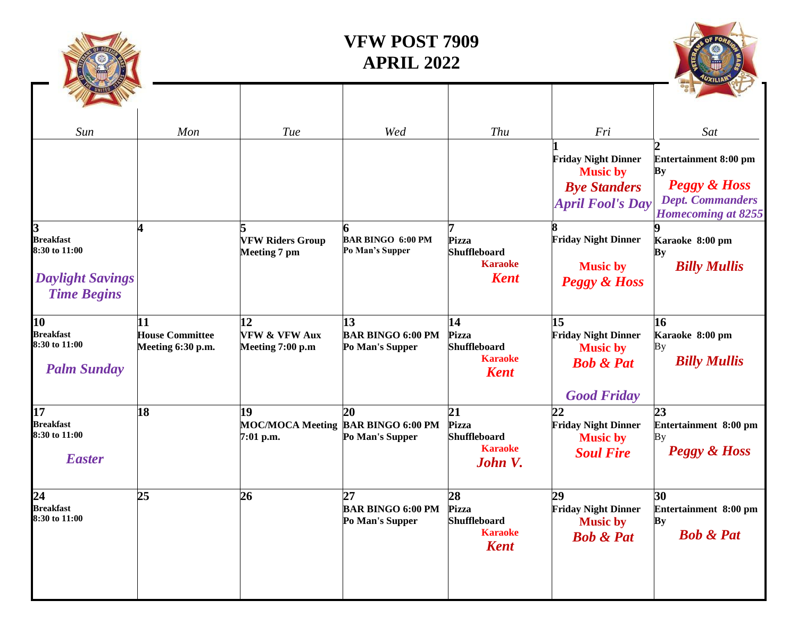| Sun<br>R<br><b>Breakfast</b><br>8:30 to 11:00                 | Mon                                               | <b>Tue</b><br><b>VFW Riders Group</b>              | Wed<br><b>BAR BINGO 6:00 PM</b><br>Po Man's Supper          | Thu<br>Pizza<br><b>Shuffleboard</b>                                 | Fri<br><b>Friday Night Dinner</b><br><b>Music by</b><br><b>Bye Standers</b><br><b>April Fool's Day</b><br><b>Friday Night Dinner</b> | Sat<br><b>Entertainment 8:00 pm</b><br>ву<br><b>Peggy &amp; Hoss</b><br><b>Dept. Commanders</b><br><b>Homecoming at 8255</b><br>Karaoke 8:00 pm |
|---------------------------------------------------------------|---------------------------------------------------|----------------------------------------------------|-------------------------------------------------------------|---------------------------------------------------------------------|--------------------------------------------------------------------------------------------------------------------------------------|-------------------------------------------------------------------------------------------------------------------------------------------------|
| <b>Daylight Savings</b><br><b>Time Begins</b>                 |                                                   | <b>Meeting 7 pm</b>                                |                                                             | <b>Karaoke</b><br><b>Kent</b>                                       | <b>Music by</b><br><b>Peggy &amp; Hoss</b>                                                                                           | Bу<br><b>Billy Mullis</b>                                                                                                                       |
| 10<br><b>Breakfast</b><br>8:30 to 11:00<br><b>Palm Sunday</b> | 11<br><b>House Committee</b><br>Meeting 6:30 p.m. | 12<br><b>VFW &amp; VFW Aux</b><br>Meeting 7:00 p.m | 13<br><b>BAR BINGO 6:00 PM</b><br>Po Man's Supper           | 14<br>Pizza<br><b>Shuffleboard</b><br><b>Karaoke</b><br><b>Kent</b> | 15<br><b>Friday Night Dinner</b><br><b>Music by</b><br><b>Bob &amp; Pat</b><br><b>Good Friday</b>                                    | 16<br>Karaoke 8:00 pm<br>Вy<br><b>Billy Mullis</b>                                                                                              |
| 17<br><b>Breakfast</b><br>8:30 to 11:00<br><b>Easter</b>      | 18                                                | 19<br>7:01 p.m.                                    | 20<br>MOC/MOCA Meeting BAR BINGO 6:00 PM<br>Po Man's Supper | 21<br><b>Pizza</b><br>Shuffleboard<br><b>Karaoke</b><br>John V.     | 22<br><b>Friday Night Dinner</b><br><b>Music by</b><br><b>Soul Fire</b>                                                              | 23<br>Entertainment 8:00 pm<br>Bу<br><b>Peggy &amp; Hoss</b>                                                                                    |
| 24<br><b>Breakfast</b><br>8:30 to 11:00                       | 25                                                | 26                                                 | 27<br><b>BAR BINGO 6:00 PM</b><br>Po Man's Supper           | 28<br><b>Pizza</b><br>Shuffleboard<br><b>Karaoke</b><br><b>Kent</b> | 29<br><b>Friday Night Dinner</b><br><b>Music by</b><br><b>Bob &amp; Pat</b>                                                          | 30<br>Entertainment 8:00 pm<br>By<br><b>Bob &amp; Pat</b>                                                                                       |